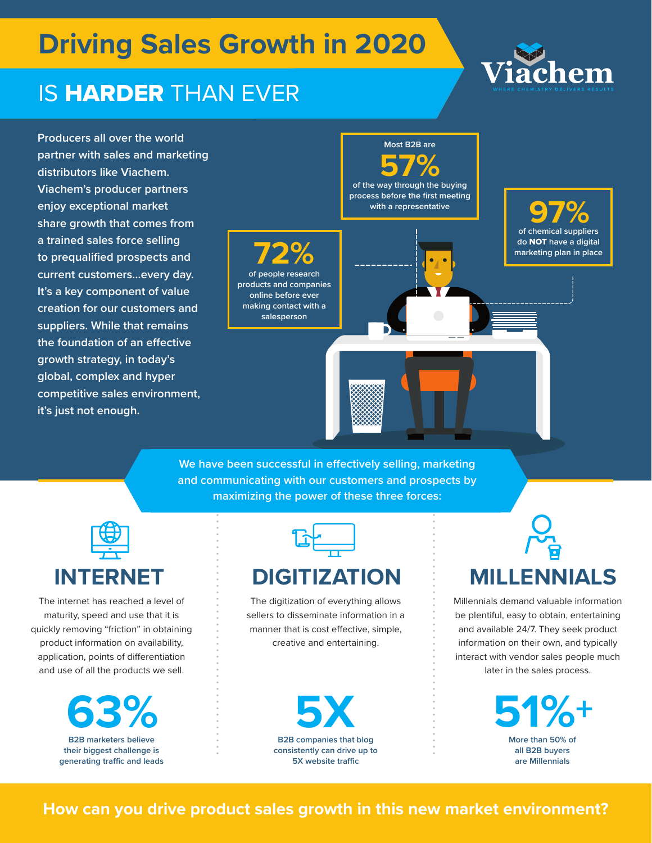## **Driving Sales Growth in 2020**

### **IS HARDER THAN EVER**

**Producers all over the world partner with sales and marketing distributors like Viachem. Viachem's producer partners enjoy exceptional market share growth that comes from a trained sales force selling to prequalified prospects and current customers…every day. It's a key component of value creation for our customers and suppliers. While that remains the foundation of an effective growth strategy, in today's global, complex and hyper competitive sales environment, it's just not enough.** 



**We have been successful in effectively selling, marketing and communicating with our customers and prospects by maximizing the power of these three forces:**

| INTERNET | <b>DIGITIZATION</b> |
|----------|---------------------|

The internet has reached a level of maturity, speed and use that it is quickly removing "friction" in obtaining product information on availability, application, points of differentiation and use of all the products we sell.



The digitization of everything allows sellers to disseminate information in a manner that is cost effective, simple, creative and entertaining.



# **MILLENNIALS**

Millennials demand valuable information be plentiful, easy to obtain, entertaining and available 24/7. They seek product information on their own, and typically interact with vendor sales people much later in the sales process.



#### **How can you drive product sales growth in this new market environment?**